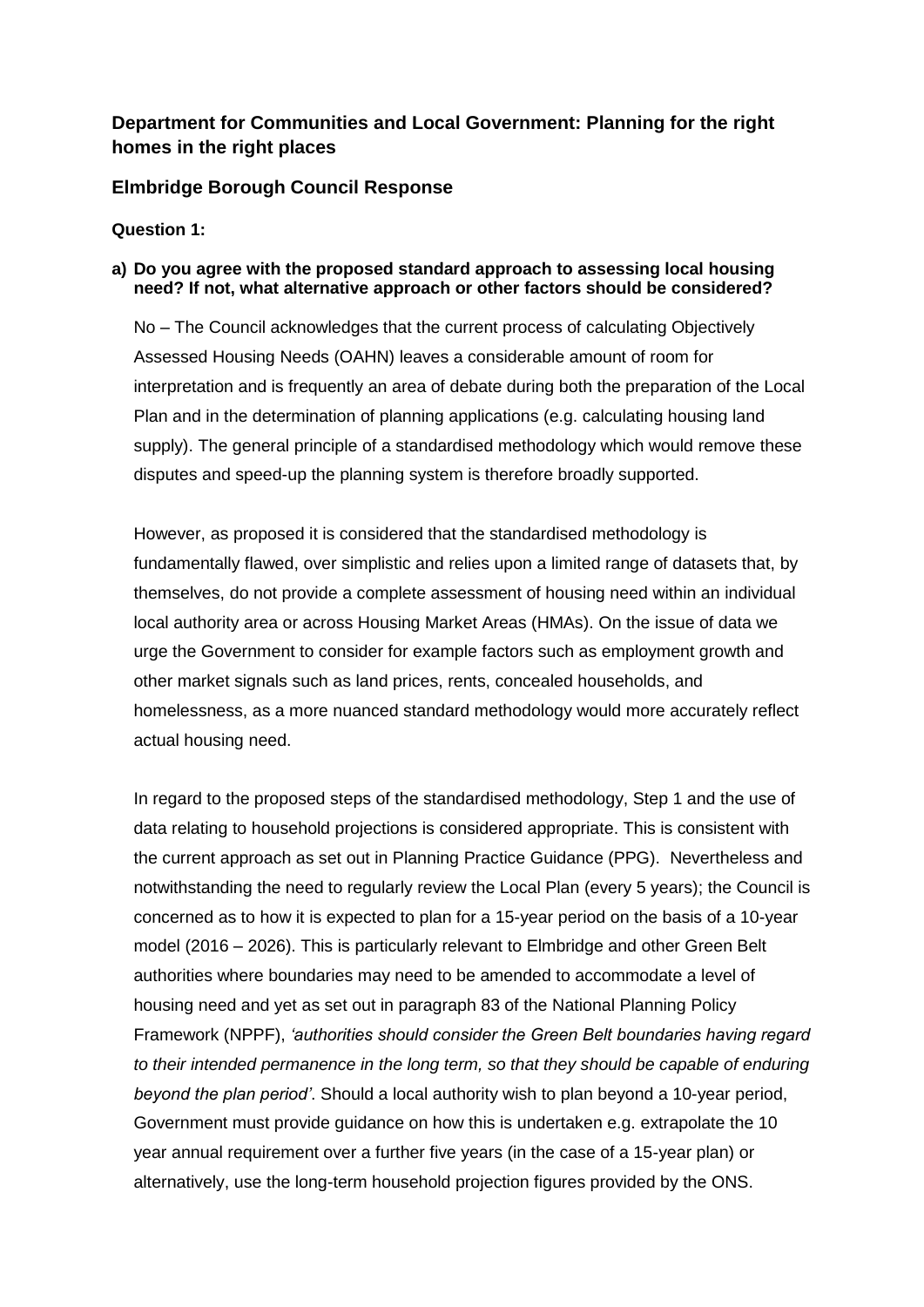### **Department for Communities and Local Government: Planning for the right homes in the right places**

### **Elmbridge Borough Council Response**

**Question 1:** 

### **a) Do you agree with the proposed standard approach to assessing local housing need? If not, what alternative approach or other factors should be considered?**

No – The Council acknowledges that the current process of calculating Objectively Assessed Housing Needs (OAHN) leaves a considerable amount of room for interpretation and is frequently an area of debate during both the preparation of the Local Plan and in the determination of planning applications (e.g. calculating housing land supply). The general principle of a standardised methodology which would remove these disputes and speed-up the planning system is therefore broadly supported.

However, as proposed it is considered that the standardised methodology is fundamentally flawed, over simplistic and relies upon a limited range of datasets that, by themselves, do not provide a complete assessment of housing need within an individual local authority area or across Housing Market Areas (HMAs). On the issue of data we urge the Government to consider for example factors such as employment growth and other market signals such as land prices, rents, concealed households, and homelessness, as a more nuanced standard methodology would more accurately reflect actual housing need.

In regard to the proposed steps of the standardised methodology, Step 1 and the use of data relating to household projections is considered appropriate. This is consistent with the current approach as set out in Planning Practice Guidance (PPG). Nevertheless and notwithstanding the need to regularly review the Local Plan (every 5 years); the Council is concerned as to how it is expected to plan for a 15-year period on the basis of a 10-year model (2016 – 2026). This is particularly relevant to Elmbridge and other Green Belt authorities where boundaries may need to be amended to accommodate a level of housing need and yet as set out in paragraph 83 of the National Planning Policy Framework (NPPF), *'authorities should consider the Green Belt boundaries having regard to their intended permanence in the long term, so that they should be capable of enduring beyond the plan period'*. Should a local authority wish to plan beyond a 10-year period, Government must provide guidance on how this is undertaken e.g. extrapolate the 10 year annual requirement over a further five years (in the case of a 15-year plan) or alternatively, use the long-term household projection figures provided by the ONS.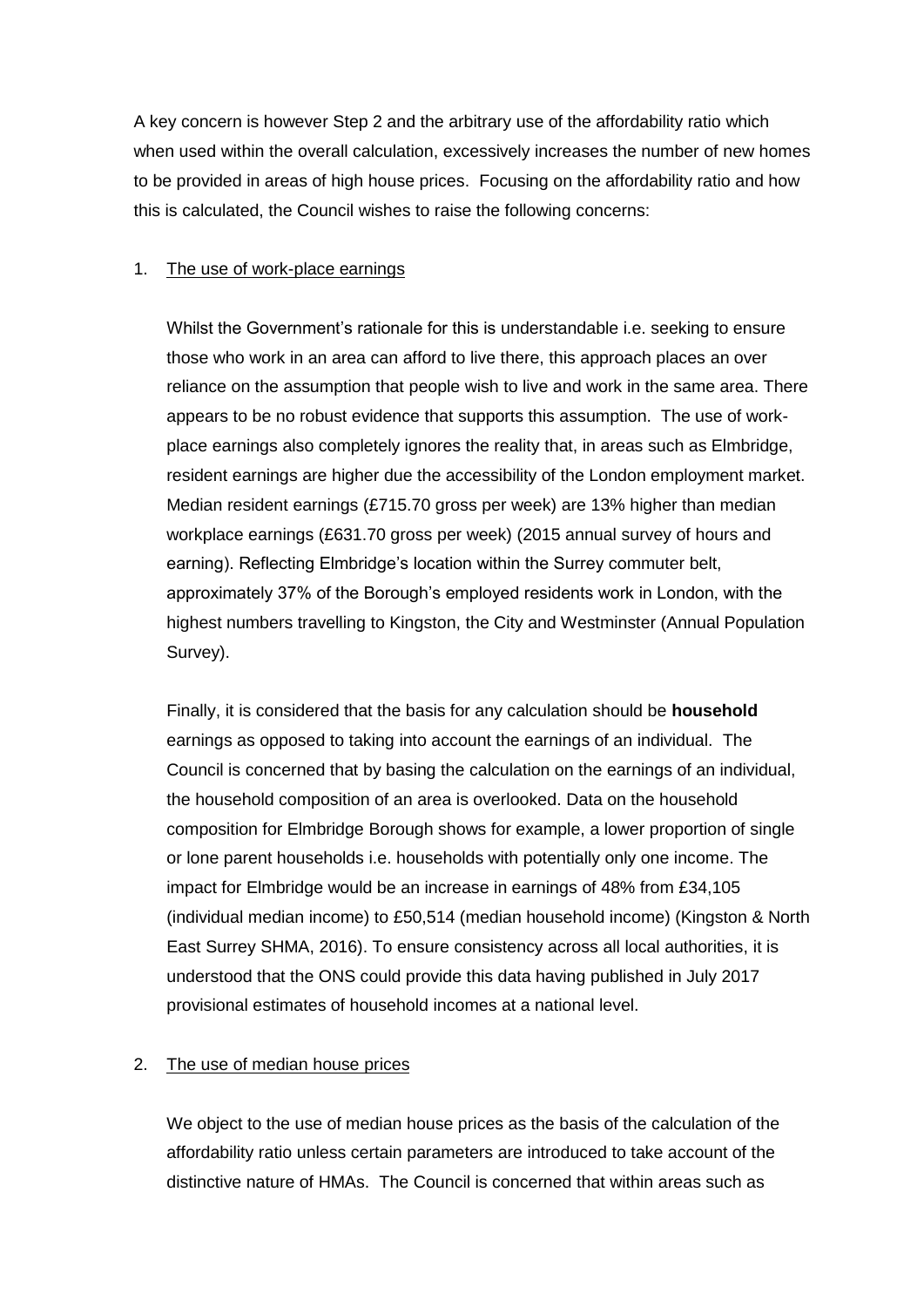A key concern is however Step 2 and the arbitrary use of the affordability ratio which when used within the overall calculation, excessively increases the number of new homes to be provided in areas of high house prices. Focusing on the affordability ratio and how this is calculated, the Council wishes to raise the following concerns:

#### 1. The use of work-place earnings

Whilst the Government's rationale for this is understandable i.e. seeking to ensure those who work in an area can afford to live there, this approach places an over reliance on the assumption that people wish to live and work in the same area. There appears to be no robust evidence that supports this assumption. The use of workplace earnings also completely ignores the reality that, in areas such as Elmbridge, resident earnings are higher due the accessibility of the London employment market. Median resident earnings (£715.70 gross per week) are 13% higher than median workplace earnings (£631.70 gross per week) (2015 annual survey of hours and earning). Reflecting Elmbridge's location within the Surrey commuter belt, approximately 37% of the Borough's employed residents work in London, with the highest numbers travelling to Kingston, the City and Westminster (Annual Population Survey).

Finally, it is considered that the basis for any calculation should be **household** earnings as opposed to taking into account the earnings of an individual. The Council is concerned that by basing the calculation on the earnings of an individual, the household composition of an area is overlooked. Data on the household composition for Elmbridge Borough shows for example, a lower proportion of single or lone parent households i.e. households with potentially only one income. The impact for Elmbridge would be an increase in earnings of 48% from £34,105 (individual median income) to £50,514 (median household income) (Kingston & North East Surrey SHMA, 2016). To ensure consistency across all local authorities, it is understood that the ONS could provide this data having published in July 2017 provisional estimates of household incomes at a national level.

#### 2. The use of median house prices

We object to the use of median house prices as the basis of the calculation of the affordability ratio unless certain parameters are introduced to take account of the distinctive nature of HMAs. The Council is concerned that within areas such as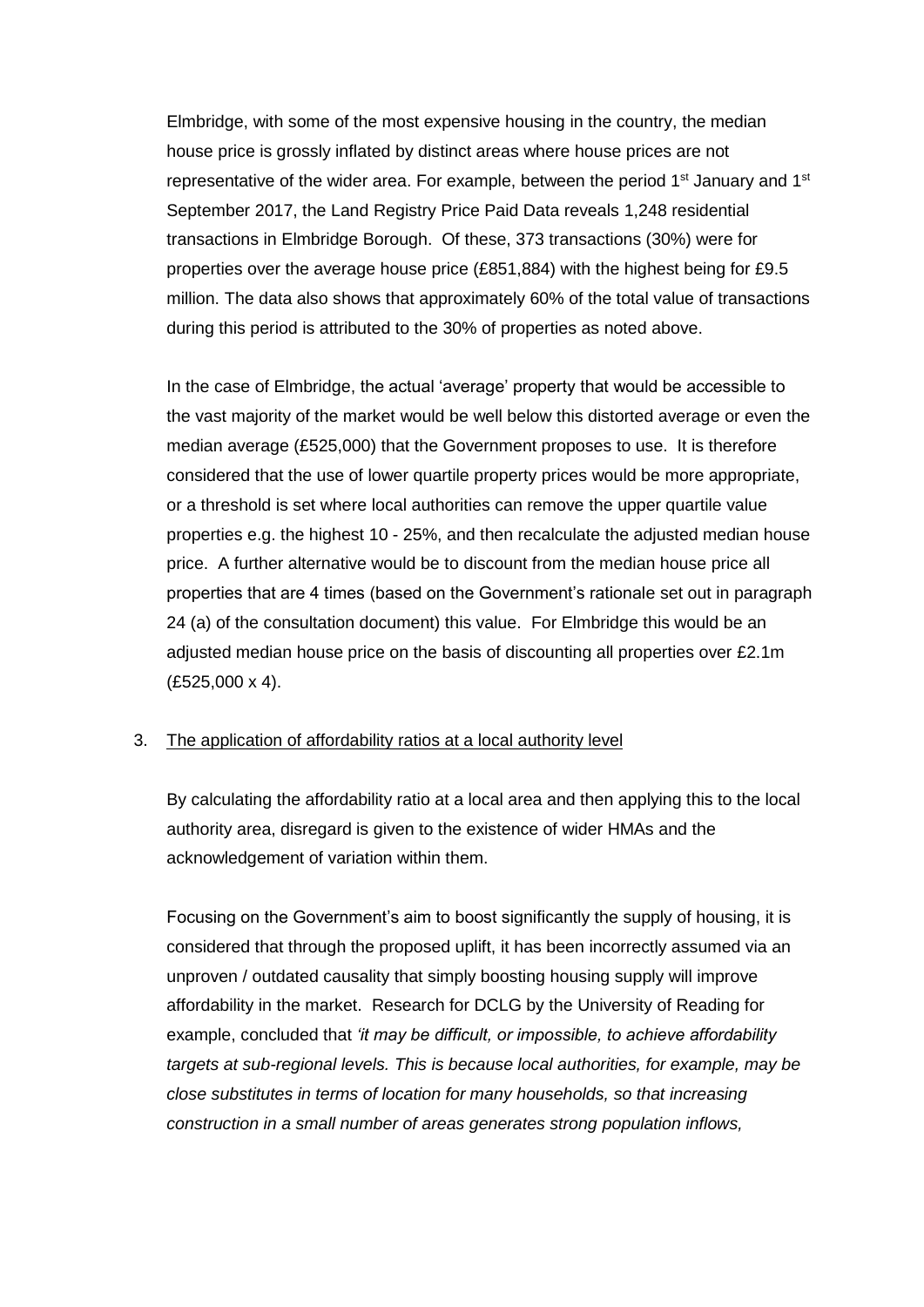Elmbridge, with some of the most expensive housing in the country, the median house price is grossly inflated by distinct areas where house prices are not representative of the wider area. For example, between the period  $1<sup>st</sup>$  January and  $1<sup>st</sup>$ September 2017, the Land Registry Price Paid Data reveals 1,248 residential transactions in Elmbridge Borough. Of these, 373 transactions (30%) were for properties over the average house price (£851,884) with the highest being for £9.5 million. The data also shows that approximately 60% of the total value of transactions during this period is attributed to the 30% of properties as noted above.

In the case of Elmbridge, the actual 'average' property that would be accessible to the vast majority of the market would be well below this distorted average or even the median average (£525,000) that the Government proposes to use. It is therefore considered that the use of lower quartile property prices would be more appropriate, or a threshold is set where local authorities can remove the upper quartile value properties e.g. the highest 10 - 25%, and then recalculate the adjusted median house price. A further alternative would be to discount from the median house price all properties that are 4 times (based on the Government's rationale set out in paragraph 24 (a) of the consultation document) this value. For Elmbridge this would be an adjusted median house price on the basis of discounting all properties over £2.1m (£525,000 x 4).

#### 3. The application of affordability ratios at a local authority level

By calculating the affordability ratio at a local area and then applying this to the local authority area, disregard is given to the existence of wider HMAs and the acknowledgement of variation within them.

Focusing on the Government's aim to boost significantly the supply of housing, it is considered that through the proposed uplift, it has been incorrectly assumed via an unproven / outdated causality that simply boosting housing supply will improve affordability in the market. Research for DCLG by the University of Reading for example, concluded that *'it may be difficult, or impossible, to achieve affordability targets at sub-regional levels. This is because local authorities, for example, may be close substitutes in terms of location for many households, so that increasing construction in a small number of areas generates strong population inflows,*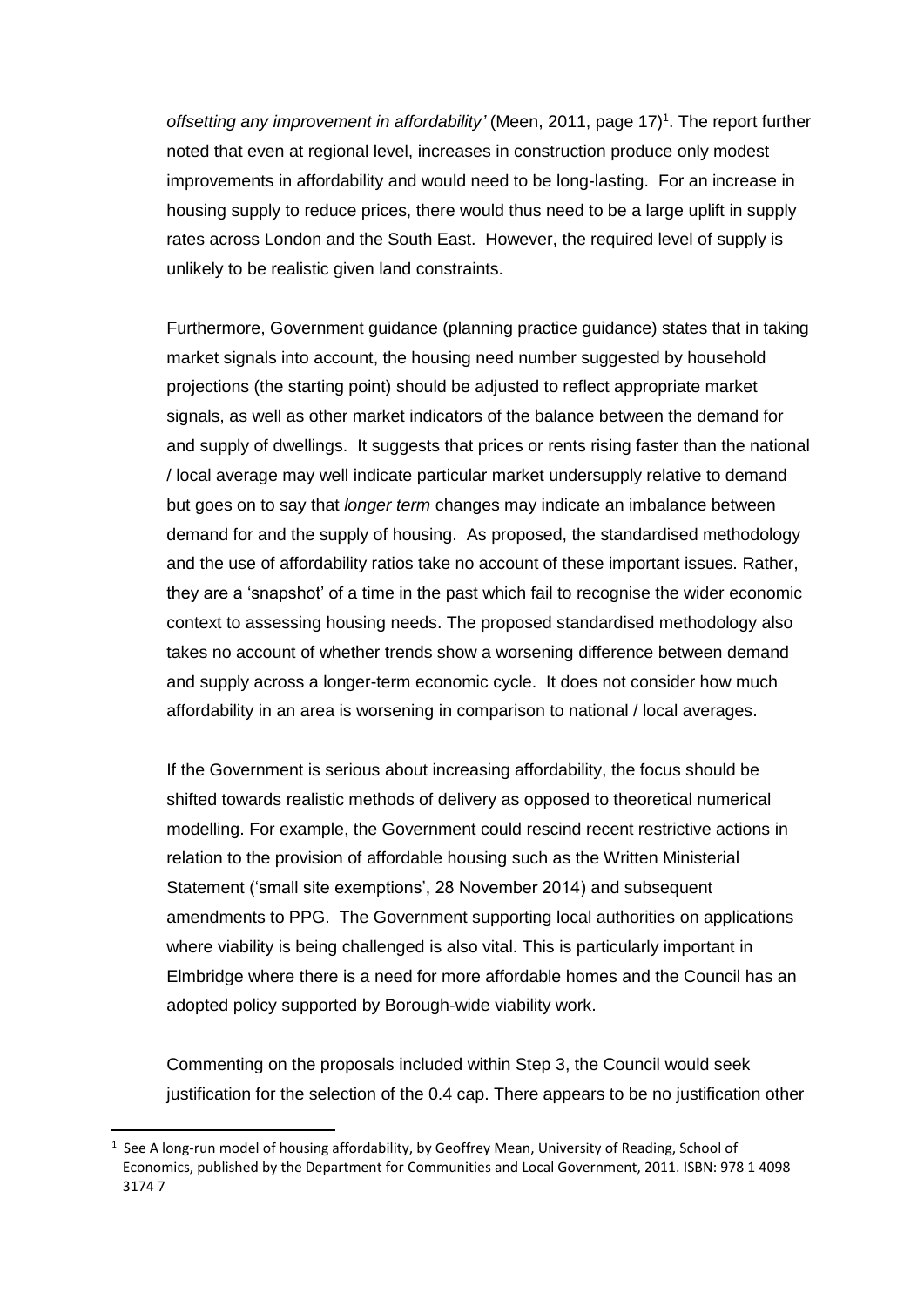offsetting any improvement in affordability' (Meen, 2011, page 17)<sup>1</sup>. The report further noted that even at regional level, increases in construction produce only modest improvements in affordability and would need to be long-lasting. For an increase in housing supply to reduce prices, there would thus need to be a large uplift in supply rates across London and the South East. However, the required level of supply is unlikely to be realistic given land constraints.

Furthermore, Government guidance (planning practice guidance) states that in taking market signals into account, the housing need number suggested by household projections (the starting point) should be adjusted to reflect appropriate market signals, as well as other market indicators of the balance between the demand for and supply of dwellings. It suggests that prices or rents rising faster than the national / local average may well indicate particular market undersupply relative to demand but goes on to say that *longer term* changes may indicate an imbalance between demand for and the supply of housing. As proposed, the standardised methodology and the use of affordability ratios take no account of these important issues. Rather, they are a 'snapshot' of a time in the past which fail to recognise the wider economic context to assessing housing needs. The proposed standardised methodology also takes no account of whether trends show a worsening difference between demand and supply across a longer-term economic cycle. It does not consider how much affordability in an area is worsening in comparison to national / local averages.

If the Government is serious about increasing affordability, the focus should be shifted towards realistic methods of delivery as opposed to theoretical numerical modelling. For example, the Government could rescind recent restrictive actions in relation to the provision of affordable housing such as the Written Ministerial Statement ('small site exemptions', 28 November 2014) and subsequent amendments to PPG. The Government supporting local authorities on applications where viability is being challenged is also vital. This is particularly important in Elmbridge where there is a need for more affordable homes and the Council has an adopted policy supported by Borough-wide viability work.

Commenting on the proposals included within Step 3, the Council would seek justification for the selection of the 0.4 cap. There appears to be no justification other

**.** 

<sup>1</sup> See A long-run model of housing affordability, by Geoffrey Mean, University of Reading, School of Economics, published by the Department for Communities and Local Government, 2011. ISBN: 978 1 4098 3174 7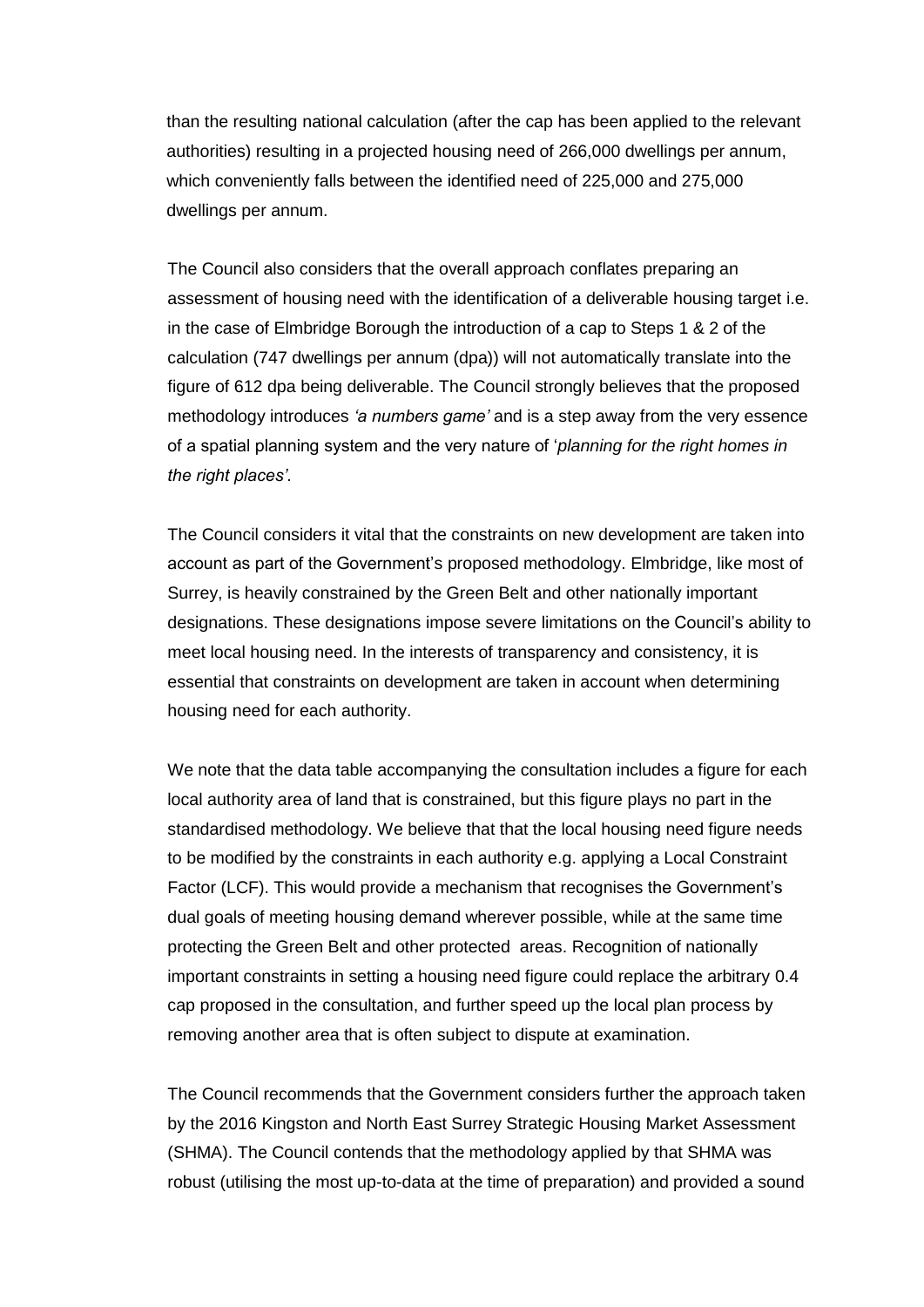than the resulting national calculation (after the cap has been applied to the relevant authorities) resulting in a projected housing need of 266,000 dwellings per annum, which conveniently falls between the identified need of 225,000 and 275,000 dwellings per annum.

The Council also considers that the overall approach conflates preparing an assessment of housing need with the identification of a deliverable housing target i.e. in the case of Elmbridge Borough the introduction of a cap to Steps 1 & 2 of the calculation (747 dwellings per annum (dpa)) will not automatically translate into the figure of 612 dpa being deliverable. The Council strongly believes that the proposed methodology introduces *'a numbers game'* and is a step away from the very essence of a spatial planning system and the very nature of '*planning for the right homes in the right places'*.

The Council considers it vital that the constraints on new development are taken into account as part of the Government's proposed methodology. Elmbridge, like most of Surrey, is heavily constrained by the Green Belt and other nationally important designations. These designations impose severe limitations on the Council's ability to meet local housing need. In the interests of transparency and consistency, it is essential that constraints on development are taken in account when determining housing need for each authority.

We note that the data table accompanying the consultation includes a figure for each local authority area of land that is constrained, but this figure plays no part in the standardised methodology. We believe that that the local housing need figure needs to be modified by the constraints in each authority e.g. applying a Local Constraint Factor (LCF). This would provide a mechanism that recognises the Government's dual goals of meeting housing demand wherever possible, while at the same time protecting the Green Belt and other protected areas. Recognition of nationally important constraints in setting a housing need figure could replace the arbitrary 0.4 cap proposed in the consultation, and further speed up the local plan process by removing another area that is often subject to dispute at examination.

The Council recommends that the Government considers further the approach taken by the 2016 Kingston and North East Surrey Strategic Housing Market Assessment (SHMA). The Council contends that the methodology applied by that SHMA was robust (utilising the most up-to-data at the time of preparation) and provided a sound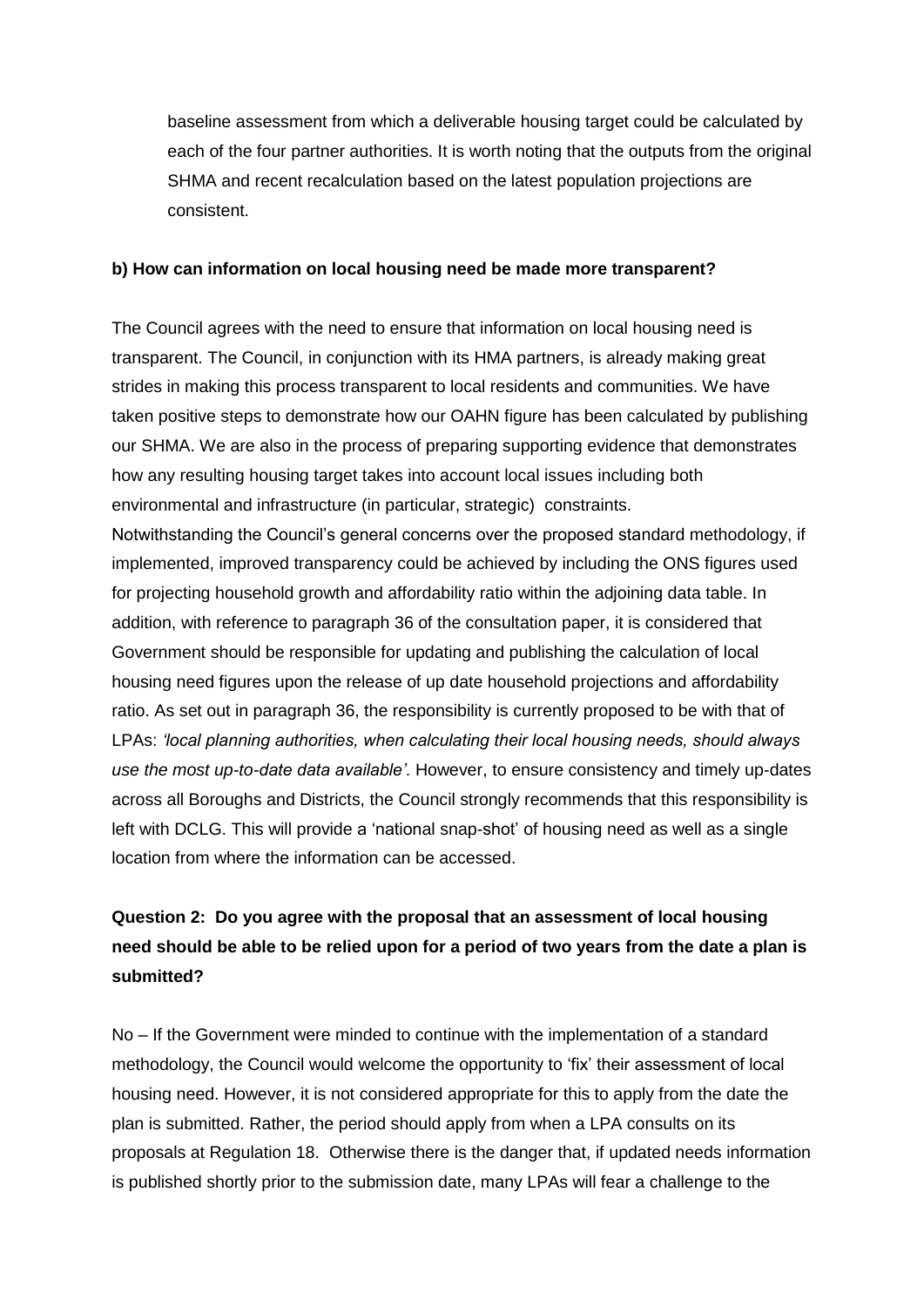baseline assessment from which a deliverable housing target could be calculated by each of the four partner authorities. It is worth noting that the outputs from the original SHMA and recent recalculation based on the latest population projections are consistent.

#### **b) How can information on local housing need be made more transparent?**

The Council agrees with the need to ensure that information on local housing need is transparent. The Council, in conjunction with its HMA partners, is already making great strides in making this process transparent to local residents and communities. We have taken positive steps to demonstrate how our OAHN figure has been calculated by publishing our SHMA. We are also in the process of preparing supporting evidence that demonstrates how any resulting housing target takes into account local issues including both environmental and infrastructure (in particular, strategic) constraints. Notwithstanding the Council's general concerns over the proposed standard methodology, if implemented, improved transparency could be achieved by including the ONS figures used for projecting household growth and affordability ratio within the adjoining data table. In addition, with reference to paragraph 36 of the consultation paper, it is considered that Government should be responsible for updating and publishing the calculation of local housing need figures upon the release of up date household projections and affordability ratio. As set out in paragraph 36, the responsibility is currently proposed to be with that of LPAs: *'local planning authorities, when calculating their local housing needs, should always use the most up-to-date data available'*. However, to ensure consistency and timely up-dates across all Boroughs and Districts, the Council strongly recommends that this responsibility is left with DCLG. This will provide a 'national snap-shot' of housing need as well as a single location from where the information can be accessed.

## **Question 2: Do you agree with the proposal that an assessment of local housing need should be able to be relied upon for a period of two years from the date a plan is submitted?**

No – If the Government were minded to continue with the implementation of a standard methodology, the Council would welcome the opportunity to 'fix' their assessment of local housing need. However, it is not considered appropriate for this to apply from the date the plan is submitted. Rather, the period should apply from when a LPA consults on its proposals at Regulation 18. Otherwise there is the danger that, if updated needs information is published shortly prior to the submission date, many LPAs will fear a challenge to the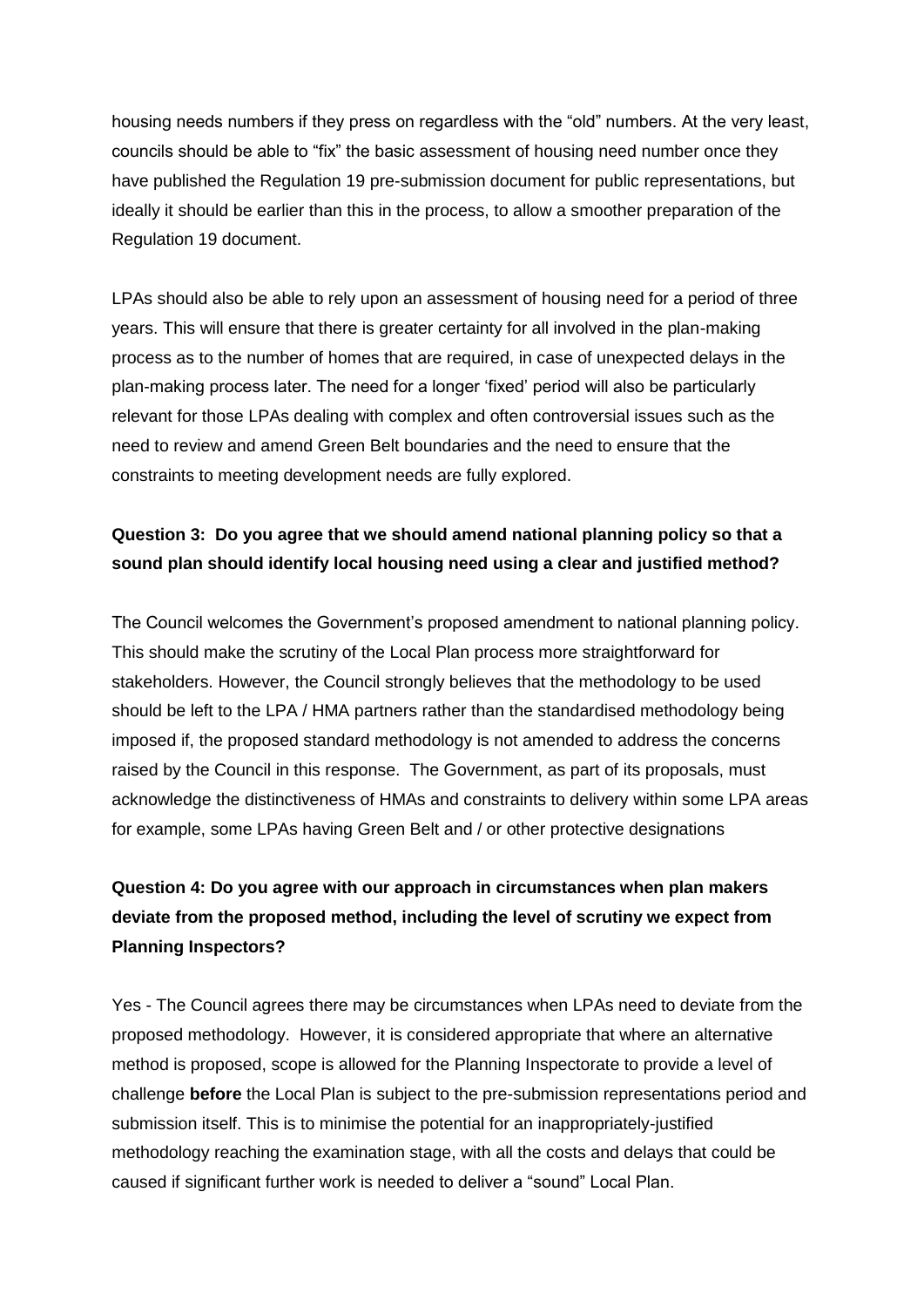housing needs numbers if they press on regardless with the "old" numbers. At the very least, councils should be able to "fix" the basic assessment of housing need number once they have published the Regulation 19 pre-submission document for public representations, but ideally it should be earlier than this in the process, to allow a smoother preparation of the Regulation 19 document.

LPAs should also be able to rely upon an assessment of housing need for a period of three years. This will ensure that there is greater certainty for all involved in the plan-making process as to the number of homes that are required, in case of unexpected delays in the plan-making process later. The need for a longer 'fixed' period will also be particularly relevant for those LPAs dealing with complex and often controversial issues such as the need to review and amend Green Belt boundaries and the need to ensure that the constraints to meeting development needs are fully explored.

### **Question 3: Do you agree that we should amend national planning policy so that a sound plan should identify local housing need using a clear and justified method?**

The Council welcomes the Government's proposed amendment to national planning policy. This should make the scrutiny of the Local Plan process more straightforward for stakeholders. However, the Council strongly believes that the methodology to be used should be left to the LPA / HMA partners rather than the standardised methodology being imposed if, the proposed standard methodology is not amended to address the concerns raised by the Council in this response. The Government, as part of its proposals, must acknowledge the distinctiveness of HMAs and constraints to delivery within some LPA areas for example, some LPAs having Green Belt and / or other protective designations

## **Question 4: Do you agree with our approach in circumstances when plan makers deviate from the proposed method, including the level of scrutiny we expect from Planning Inspectors?**

Yes - The Council agrees there may be circumstances when LPAs need to deviate from the proposed methodology. However, it is considered appropriate that where an alternative method is proposed, scope is allowed for the Planning Inspectorate to provide a level of challenge **before** the Local Plan is subject to the pre-submission representations period and submission itself. This is to minimise the potential for an inappropriately-justified methodology reaching the examination stage, with all the costs and delays that could be caused if significant further work is needed to deliver a "sound" Local Plan.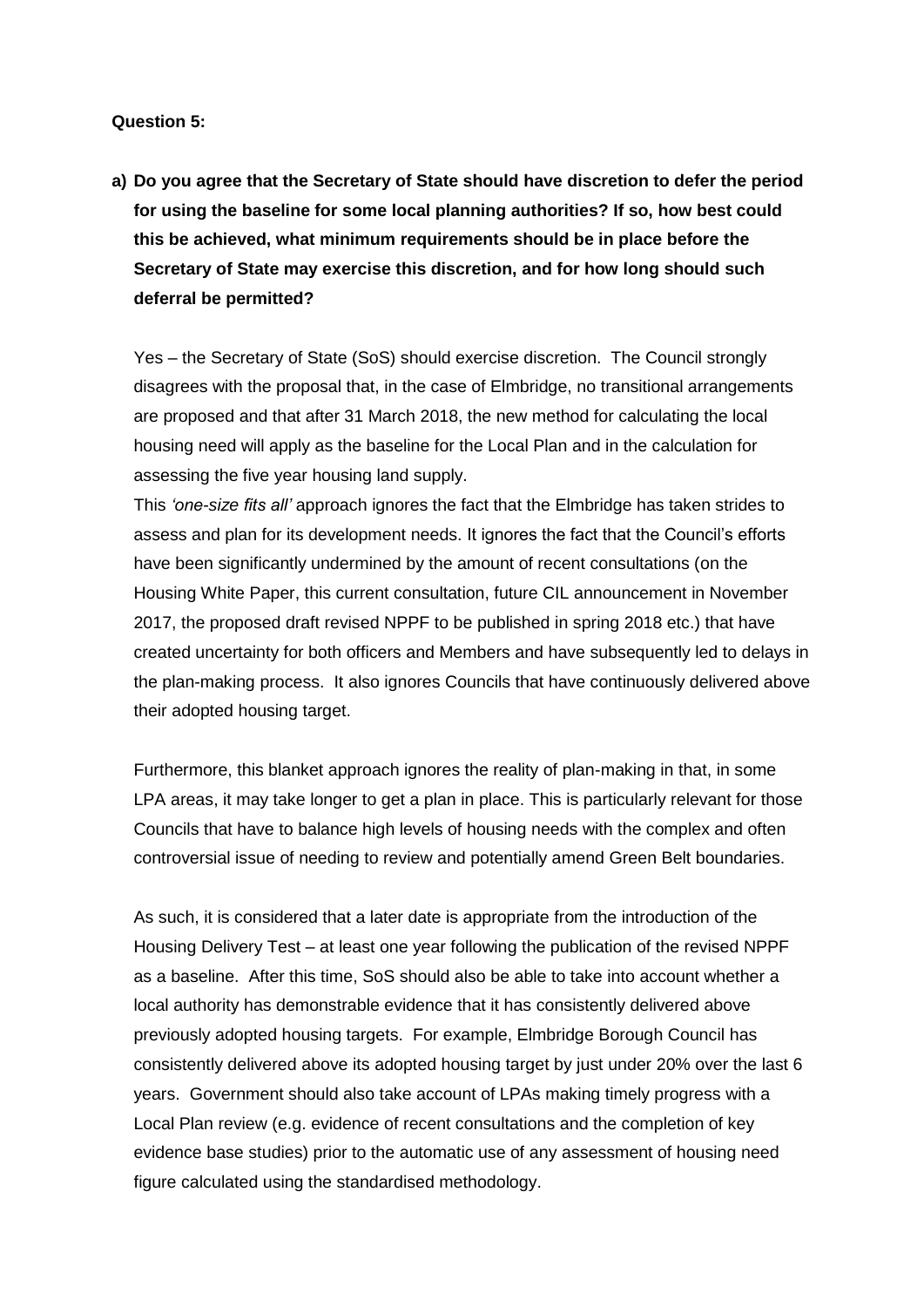#### **Question 5:**

**a) Do you agree that the Secretary of State should have discretion to defer the period for using the baseline for some local planning authorities? If so, how best could this be achieved, what minimum requirements should be in place before the Secretary of State may exercise this discretion, and for how long should such deferral be permitted?** 

Yes – the Secretary of State (SoS) should exercise discretion. The Council strongly disagrees with the proposal that, in the case of Elmbridge, no transitional arrangements are proposed and that after 31 March 2018, the new method for calculating the local housing need will apply as the baseline for the Local Plan and in the calculation for assessing the five year housing land supply.

This *'one-size fits all'* approach ignores the fact that the Elmbridge has taken strides to assess and plan for its development needs. It ignores the fact that the Council's efforts have been significantly undermined by the amount of recent consultations (on the Housing White Paper, this current consultation, future CIL announcement in November 2017, the proposed draft revised NPPF to be published in spring 2018 etc.) that have created uncertainty for both officers and Members and have subsequently led to delays in the plan-making process. It also ignores Councils that have continuously delivered above their adopted housing target.

Furthermore, this blanket approach ignores the reality of plan-making in that, in some LPA areas, it may take longer to get a plan in place. This is particularly relevant for those Councils that have to balance high levels of housing needs with the complex and often controversial issue of needing to review and potentially amend Green Belt boundaries.

As such, it is considered that a later date is appropriate from the introduction of the Housing Delivery Test – at least one year following the publication of the revised NPPF as a baseline. After this time, SoS should also be able to take into account whether a local authority has demonstrable evidence that it has consistently delivered above previously adopted housing targets. For example, Elmbridge Borough Council has consistently delivered above its adopted housing target by just under 20% over the last 6 years. Government should also take account of LPAs making timely progress with a Local Plan review (e.g. evidence of recent consultations and the completion of key evidence base studies) prior to the automatic use of any assessment of housing need figure calculated using the standardised methodology.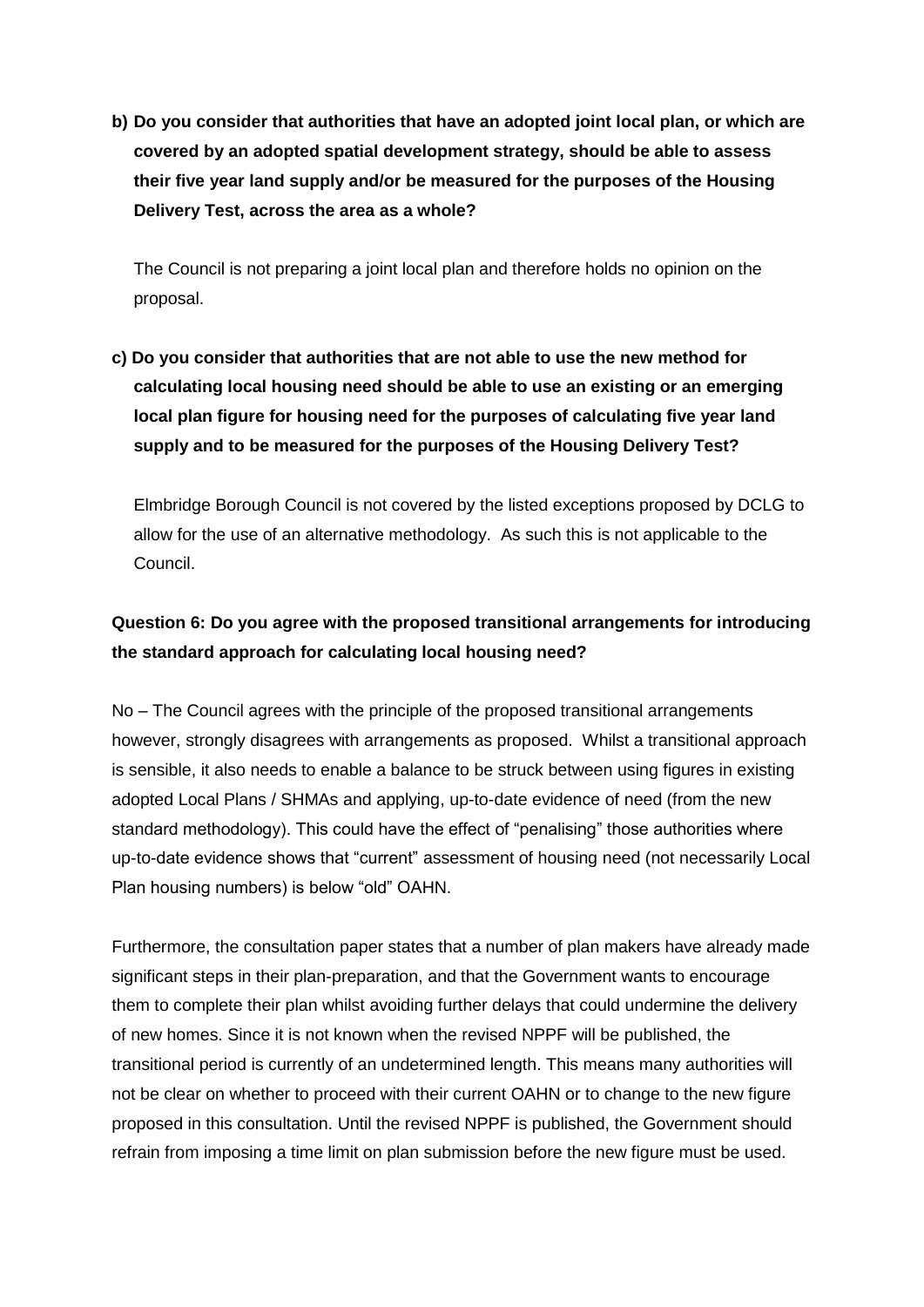**b) Do you consider that authorities that have an adopted joint local plan, or which are covered by an adopted spatial development strategy, should be able to assess their five year land supply and/or be measured for the purposes of the Housing Delivery Test, across the area as a whole?** 

The Council is not preparing a joint local plan and therefore holds no opinion on the proposal.

**c) Do you consider that authorities that are not able to use the new method for calculating local housing need should be able to use an existing or an emerging local plan figure for housing need for the purposes of calculating five year land supply and to be measured for the purposes of the Housing Delivery Test?** 

Elmbridge Borough Council is not covered by the listed exceptions proposed by DCLG to allow for the use of an alternative methodology. As such this is not applicable to the Council.

## **Question 6: Do you agree with the proposed transitional arrangements for introducing the standard approach for calculating local housing need?**

No – The Council agrees with the principle of the proposed transitional arrangements however, strongly disagrees with arrangements as proposed. Whilst a transitional approach is sensible, it also needs to enable a balance to be struck between using figures in existing adopted Local Plans / SHMAs and applying, up-to-date evidence of need (from the new standard methodology). This could have the effect of "penalising" those authorities where up-to-date evidence shows that "current" assessment of housing need (not necessarily Local Plan housing numbers) is below "old" OAHN.

Furthermore, the consultation paper states that a number of plan makers have already made significant steps in their plan-preparation, and that the Government wants to encourage them to complete their plan whilst avoiding further delays that could undermine the delivery of new homes. Since it is not known when the revised NPPF will be published, the transitional period is currently of an undetermined length. This means many authorities will not be clear on whether to proceed with their current OAHN or to change to the new figure proposed in this consultation. Until the revised NPPF is published, the Government should refrain from imposing a time limit on plan submission before the new figure must be used.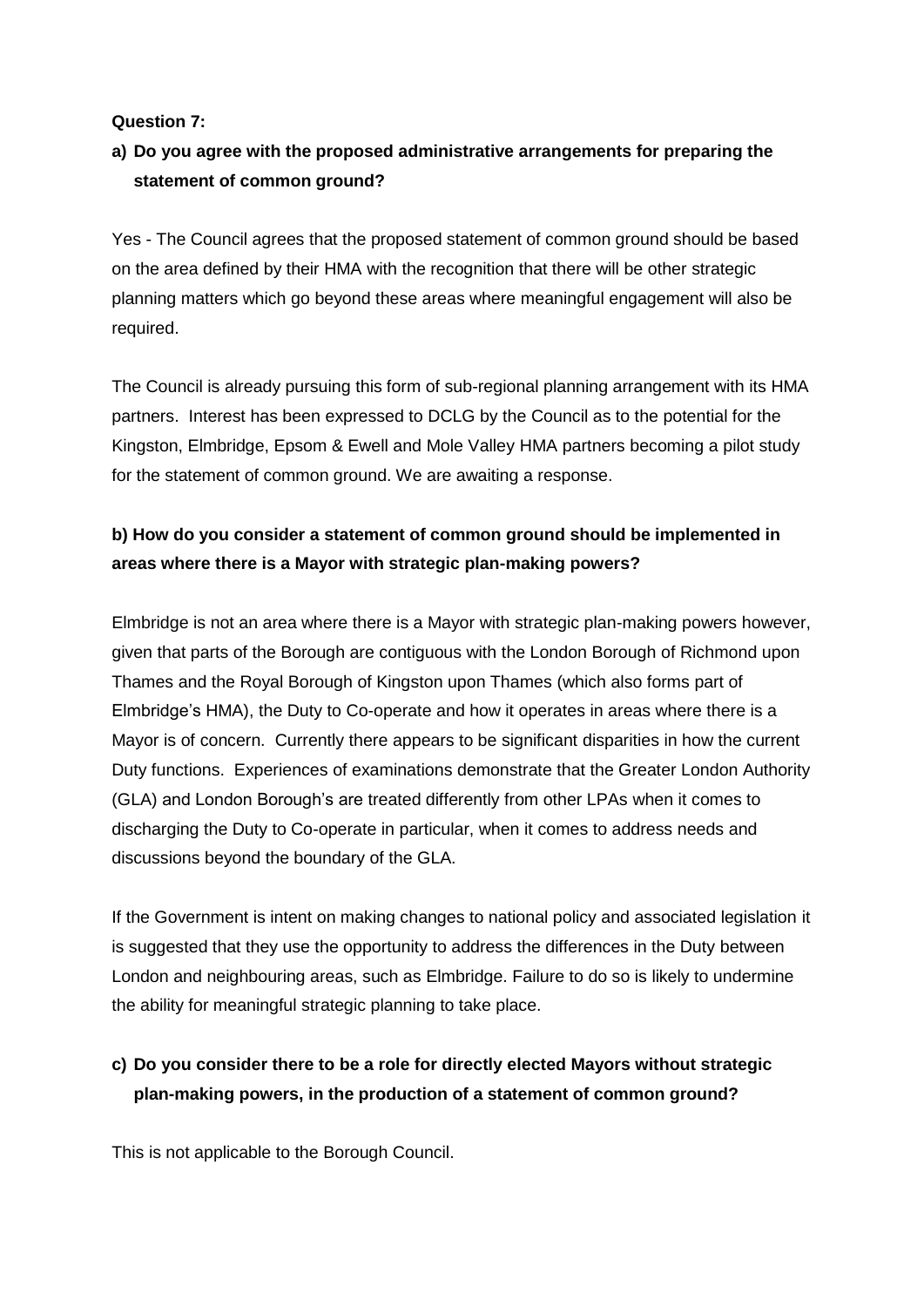#### **Question 7:**

## **a) Do you agree with the proposed administrative arrangements for preparing the statement of common ground?**

Yes - The Council agrees that the proposed statement of common ground should be based on the area defined by their HMA with the recognition that there will be other strategic planning matters which go beyond these areas where meaningful engagement will also be required.

The Council is already pursuing this form of sub-regional planning arrangement with its HMA partners. Interest has been expressed to DCLG by the Council as to the potential for the Kingston, Elmbridge, Epsom & Ewell and Mole Valley HMA partners becoming a pilot study for the statement of common ground. We are awaiting a response.

## **b) How do you consider a statement of common ground should be implemented in areas where there is a Mayor with strategic plan-making powers?**

Elmbridge is not an area where there is a Mayor with strategic plan-making powers however, given that parts of the Borough are contiguous with the London Borough of Richmond upon Thames and the Royal Borough of Kingston upon Thames (which also forms part of Elmbridge's HMA), the Duty to Co-operate and how it operates in areas where there is a Mayor is of concern. Currently there appears to be significant disparities in how the current Duty functions. Experiences of examinations demonstrate that the Greater London Authority (GLA) and London Borough's are treated differently from other LPAs when it comes to discharging the Duty to Co-operate in particular, when it comes to address needs and discussions beyond the boundary of the GLA.

If the Government is intent on making changes to national policy and associated legislation it is suggested that they use the opportunity to address the differences in the Duty between London and neighbouring areas, such as Elmbridge. Failure to do so is likely to undermine the ability for meaningful strategic planning to take place.

## **c) Do you consider there to be a role for directly elected Mayors without strategic plan-making powers, in the production of a statement of common ground?**

This is not applicable to the Borough Council.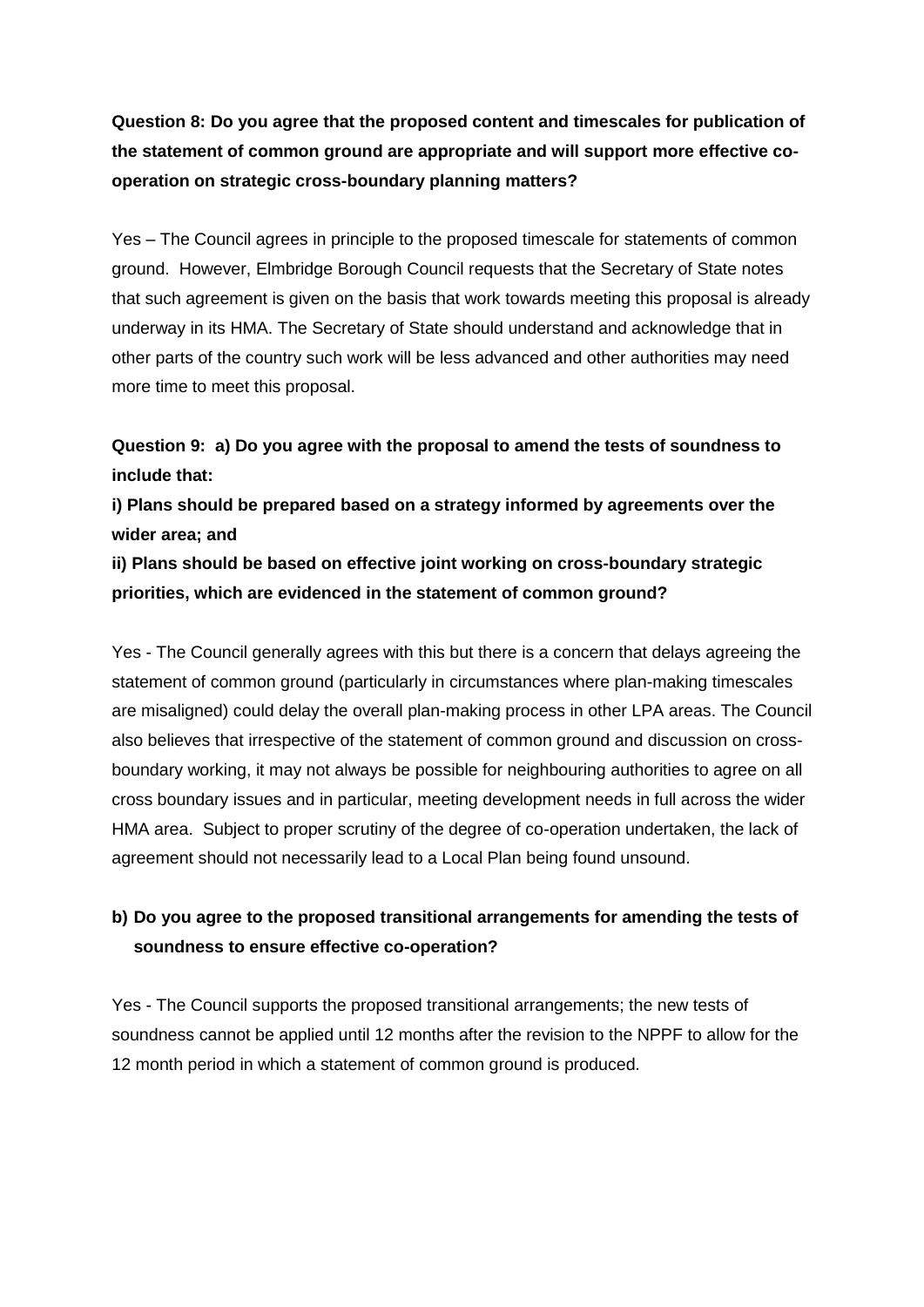**Question 8: Do you agree that the proposed content and timescales for publication of the statement of common ground are appropriate and will support more effective cooperation on strategic cross-boundary planning matters?**

Yes – The Council agrees in principle to the proposed timescale for statements of common ground. However, Elmbridge Borough Council requests that the Secretary of State notes that such agreement is given on the basis that work towards meeting this proposal is already underway in its HMA. The Secretary of State should understand and acknowledge that in other parts of the country such work will be less advanced and other authorities may need more time to meet this proposal.

**Question 9: a) Do you agree with the proposal to amend the tests of soundness to include that:**

**i) Plans should be prepared based on a strategy informed by agreements over the wider area; and**

**ii) Plans should be based on effective joint working on cross-boundary strategic priorities, which are evidenced in the statement of common ground?** 

Yes - The Council generally agrees with this but there is a concern that delays agreeing the statement of common ground (particularly in circumstances where plan-making timescales are misaligned) could delay the overall plan-making process in other LPA areas. The Council also believes that irrespective of the statement of common ground and discussion on crossboundary working, it may not always be possible for neighbouring authorities to agree on all cross boundary issues and in particular, meeting development needs in full across the wider HMA area. Subject to proper scrutiny of the degree of co-operation undertaken, the lack of agreement should not necessarily lead to a Local Plan being found unsound.

### **b) Do you agree to the proposed transitional arrangements for amending the tests of soundness to ensure effective co-operation?**

Yes - The Council supports the proposed transitional arrangements; the new tests of soundness cannot be applied until 12 months after the revision to the NPPF to allow for the 12 month period in which a statement of common ground is produced.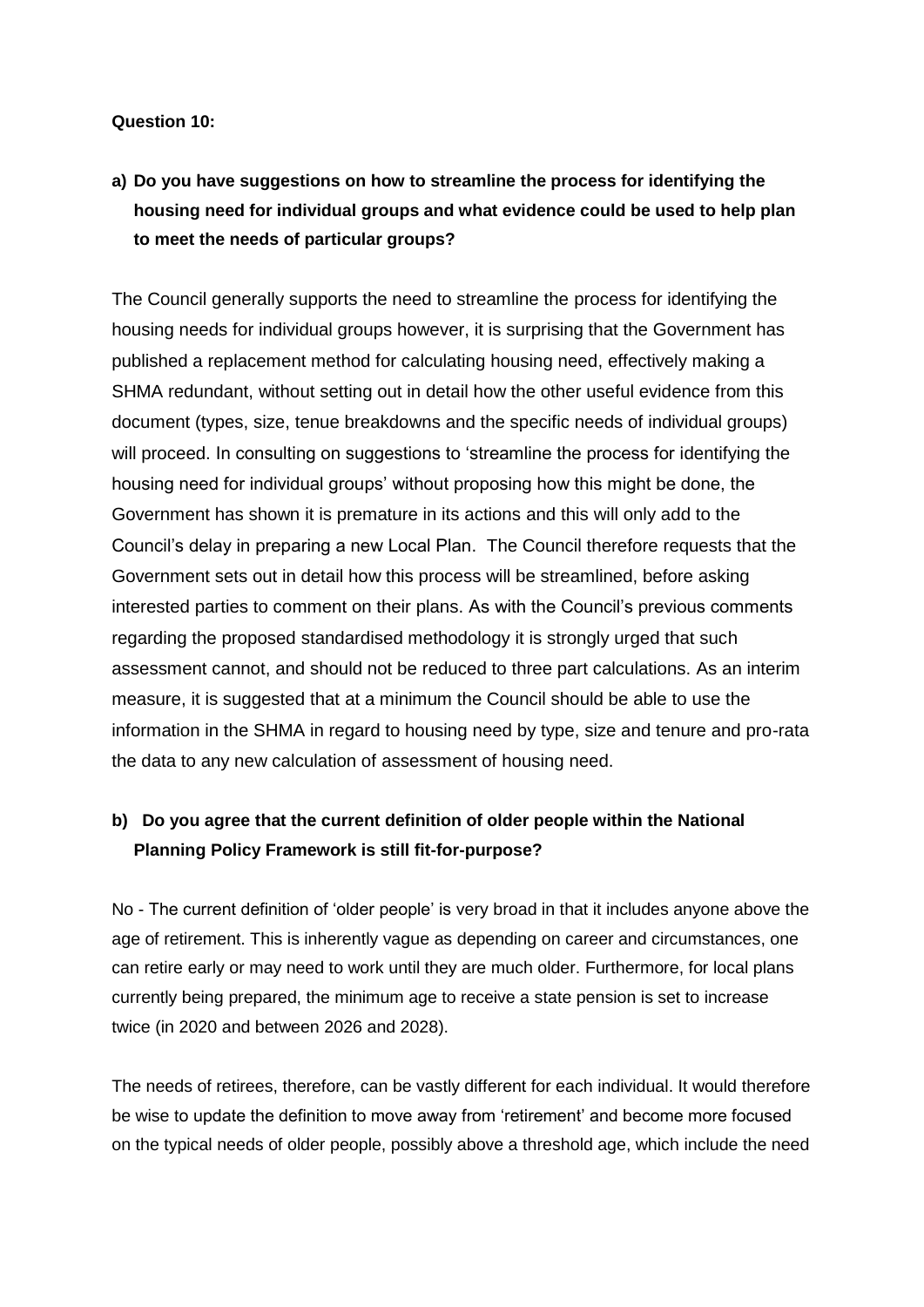#### **Question 10:**

# **a) Do you have suggestions on how to streamline the process for identifying the housing need for individual groups and what evidence could be used to help plan to meet the needs of particular groups?**

The Council generally supports the need to streamline the process for identifying the housing needs for individual groups however, it is surprising that the Government has published a replacement method for calculating housing need, effectively making a SHMA redundant, without setting out in detail how the other useful evidence from this document (types, size, tenue breakdowns and the specific needs of individual groups) will proceed. In consulting on suggestions to 'streamline the process for identifying the housing need for individual groups' without proposing how this might be done, the Government has shown it is premature in its actions and this will only add to the Council's delay in preparing a new Local Plan. The Council therefore requests that the Government sets out in detail how this process will be streamlined, before asking interested parties to comment on their plans. As with the Council's previous comments regarding the proposed standardised methodology it is strongly urged that such assessment cannot, and should not be reduced to three part calculations. As an interim measure, it is suggested that at a minimum the Council should be able to use the information in the SHMA in regard to housing need by type, size and tenure and pro-rata the data to any new calculation of assessment of housing need.

### **b) Do you agree that the current definition of older people within the National Planning Policy Framework is still fit-for-purpose?**

No - The current definition of 'older people' is very broad in that it includes anyone above the age of retirement. This is inherently vague as depending on career and circumstances, one can retire early or may need to work until they are much older. Furthermore, for local plans currently being prepared, the minimum age to receive a state pension is set to increase twice (in 2020 and between 2026 and 2028).

The needs of retirees, therefore, can be vastly different for each individual. It would therefore be wise to update the definition to move away from 'retirement' and become more focused on the typical needs of older people, possibly above a threshold age, which include the need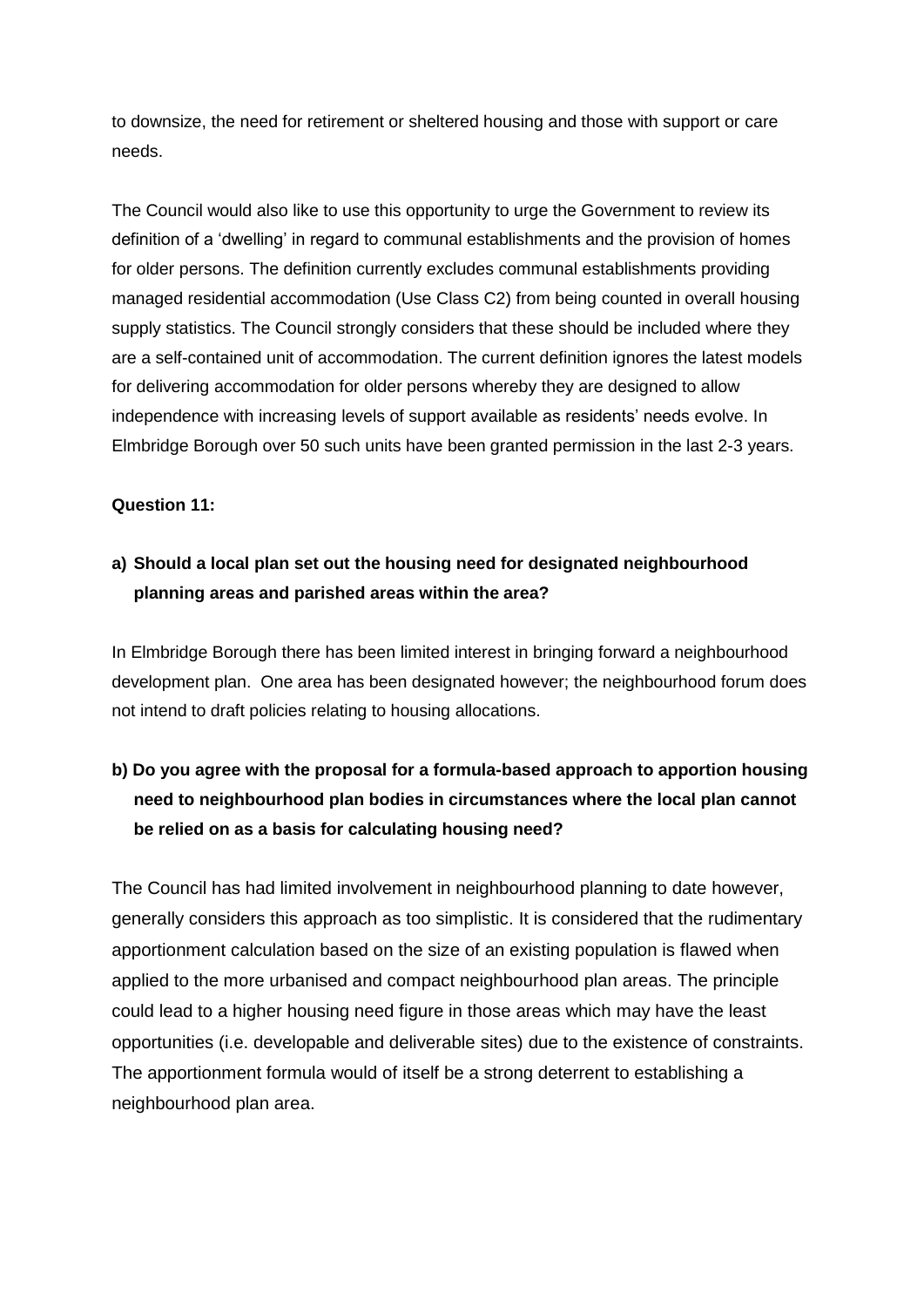to downsize, the need for retirement or sheltered housing and those with support or care needs.

The Council would also like to use this opportunity to urge the Government to review its definition of a 'dwelling' in regard to communal establishments and the provision of homes for older persons. The definition currently excludes communal establishments providing managed residential accommodation (Use Class C2) from being counted in overall housing supply statistics. The Council strongly considers that these should be included where they are a self-contained unit of accommodation. The current definition ignores the latest models for delivering accommodation for older persons whereby they are designed to allow independence with increasing levels of support available as residents' needs evolve. In Elmbridge Borough over 50 such units have been granted permission in the last 2-3 years.

#### **Question 11:**

### **a) Should a local plan set out the housing need for designated neighbourhood planning areas and parished areas within the area?**

In Elmbridge Borough there has been limited interest in bringing forward a neighbourhood development plan. One area has been designated however; the neighbourhood forum does not intend to draft policies relating to housing allocations.

## **b) Do you agree with the proposal for a formula-based approach to apportion housing need to neighbourhood plan bodies in circumstances where the local plan cannot be relied on as a basis for calculating housing need?**

The Council has had limited involvement in neighbourhood planning to date however, generally considers this approach as too simplistic. It is considered that the rudimentary apportionment calculation based on the size of an existing population is flawed when applied to the more urbanised and compact neighbourhood plan areas. The principle could lead to a higher housing need figure in those areas which may have the least opportunities (i.e. developable and deliverable sites) due to the existence of constraints. The apportionment formula would of itself be a strong deterrent to establishing a neighbourhood plan area.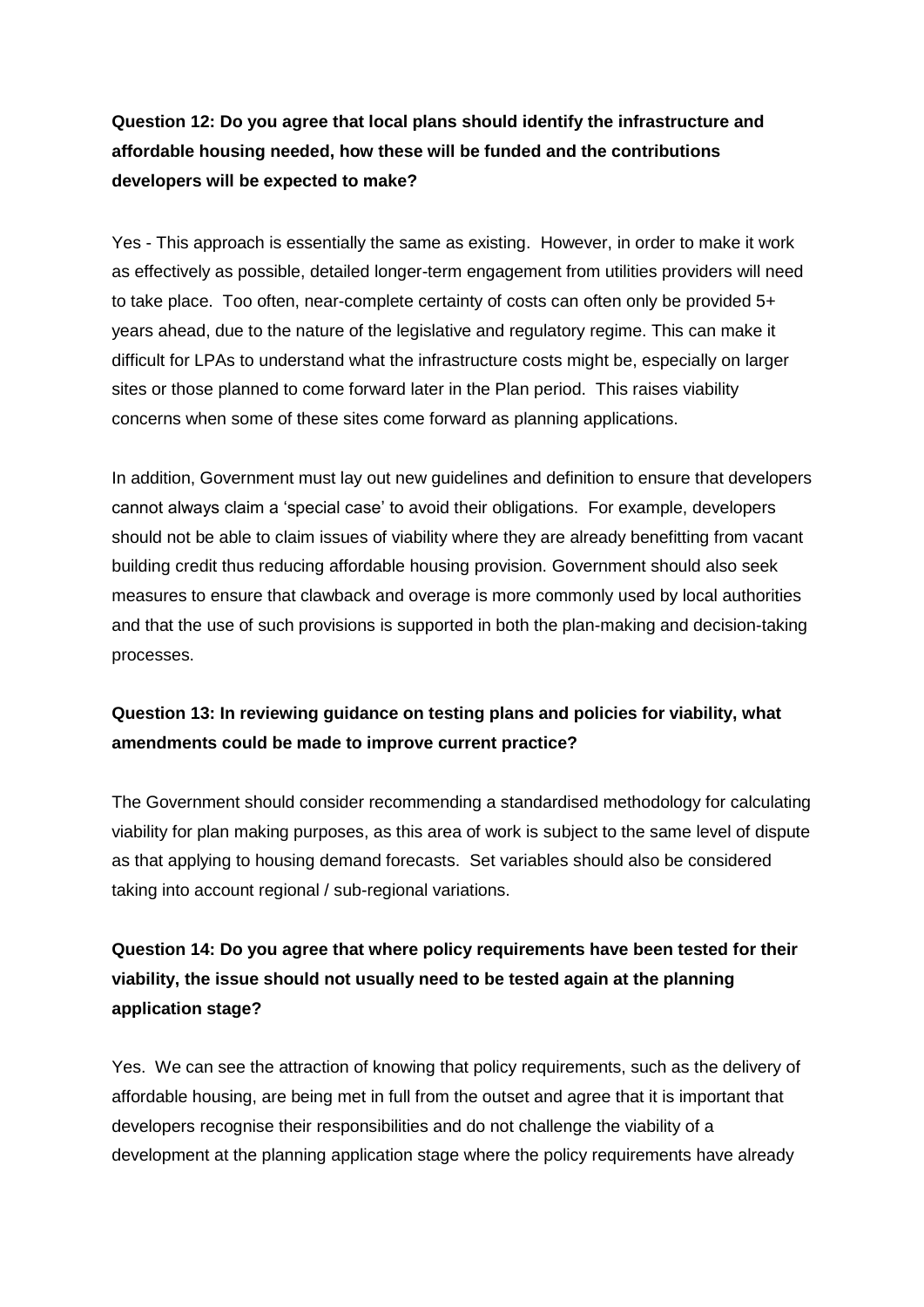## **Question 12: Do you agree that local plans should identify the infrastructure and affordable housing needed, how these will be funded and the contributions developers will be expected to make?**

Yes - This approach is essentially the same as existing. However, in order to make it work as effectively as possible, detailed longer-term engagement from utilities providers will need to take place. Too often, near-complete certainty of costs can often only be provided 5+ years ahead, due to the nature of the legislative and regulatory regime. This can make it difficult for LPAs to understand what the infrastructure costs might be, especially on larger sites or those planned to come forward later in the Plan period. This raises viability concerns when some of these sites come forward as planning applications.

In addition, Government must lay out new guidelines and definition to ensure that developers cannot always claim a 'special case' to avoid their obligations. For example, developers should not be able to claim issues of viability where they are already benefitting from vacant building credit thus reducing affordable housing provision. Government should also seek measures to ensure that clawback and overage is more commonly used by local authorities and that the use of such provisions is supported in both the plan-making and decision-taking processes.

## **Question 13: In reviewing guidance on testing plans and policies for viability, what amendments could be made to improve current practice?**

The Government should consider recommending a standardised methodology for calculating viability for plan making purposes, as this area of work is subject to the same level of dispute as that applying to housing demand forecasts. Set variables should also be considered taking into account regional / sub-regional variations.

## **Question 14: Do you agree that where policy requirements have been tested for their viability, the issue should not usually need to be tested again at the planning application stage?**

Yes. We can see the attraction of knowing that policy requirements, such as the delivery of affordable housing, are being met in full from the outset and agree that it is important that developers recognise their responsibilities and do not challenge the viability of a development at the planning application stage where the policy requirements have already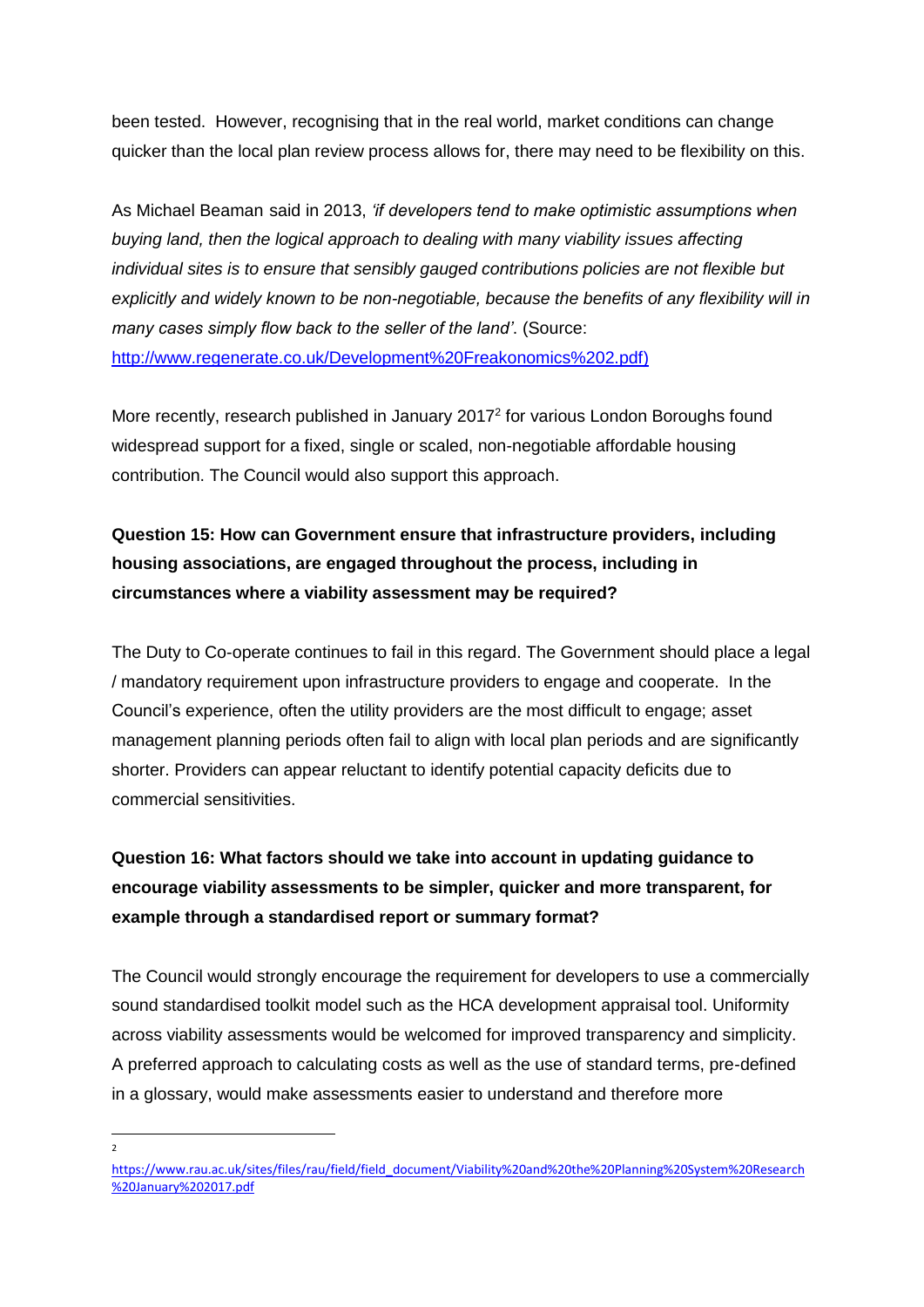been tested. However, recognising that in the real world, market conditions can change quicker than the local plan review process allows for, there may need to be flexibility on this.

As Michael Beaman said in 2013, *'if developers tend to make optimistic assumptions when buying land, then the logical approach to dealing with many viability issues affecting individual sites is to ensure that sensibly gauged contributions policies are not flexible but explicitly and widely known to be non-negotiable, because the benefits of any flexibility will in many cases simply flow back to the seller of the land'*. (Source: [http://www.regenerate.co.uk/Development%20Freakonomics%202.pdf\)](http://www.regenerate.co.uk/Development%20Freakonomics%202.pdf)

More recently, research published in January 2017<sup>2</sup> for various London Boroughs found widespread support for a fixed, single or scaled, non-negotiable affordable housing contribution. The Council would also support this approach.

# **Question 15: How can Government ensure that infrastructure providers, including housing associations, are engaged throughout the process, including in circumstances where a viability assessment may be required?**

The Duty to Co-operate continues to fail in this regard. The Government should place a legal / mandatory requirement upon infrastructure providers to engage and cooperate. In the Council's experience, often the utility providers are the most difficult to engage; asset management planning periods often fail to align with local plan periods and are significantly shorter. Providers can appear reluctant to identify potential capacity deficits due to commercial sensitivities.

# **Question 16: What factors should we take into account in updating guidance to encourage viability assessments to be simpler, quicker and more transparent, for example through a standardised report or summary format?**

The Council would strongly encourage the requirement for developers to use a commercially sound standardised toolkit model such as the HCA development appraisal tool. Uniformity across viability assessments would be welcomed for improved transparency and simplicity. A preferred approach to calculating costs as well as the use of standard terms, pre-defined in a glossary, would make assessments easier to understand and therefore more

 $\overline{a}$ 2

[https://www.rau.ac.uk/sites/files/rau/field/field\\_document/Viability%20and%20the%20Planning%20System%20Research](https://www.rau.ac.uk/sites/files/rau/field/field_document/Viability%20and%20the%20Planning%20System%20Research%20January%202017.pdf) [%20January%202017.pdf](https://www.rau.ac.uk/sites/files/rau/field/field_document/Viability%20and%20the%20Planning%20System%20Research%20January%202017.pdf)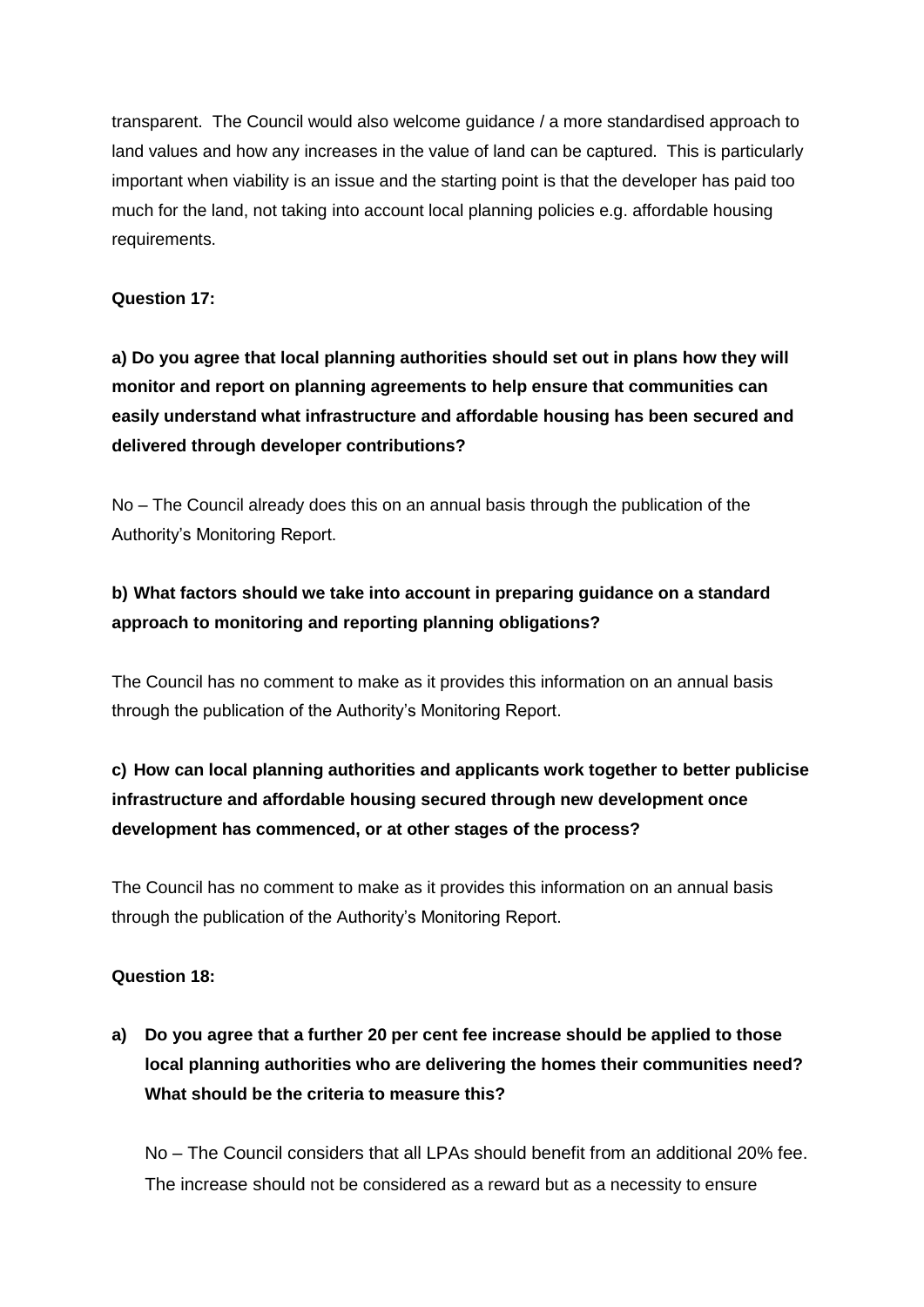transparent. The Council would also welcome guidance / a more standardised approach to land values and how any increases in the value of land can be captured. This is particularly important when viability is an issue and the starting point is that the developer has paid too much for the land, not taking into account local planning policies e.g. affordable housing requirements.

### **Question 17:**

**a) Do you agree that local planning authorities should set out in plans how they will monitor and report on planning agreements to help ensure that communities can easily understand what infrastructure and affordable housing has been secured and delivered through developer contributions?** 

No – The Council already does this on an annual basis through the publication of the Authority's Monitoring Report.

## **b) What factors should we take into account in preparing guidance on a standard approach to monitoring and reporting planning obligations?**

The Council has no comment to make as it provides this information on an annual basis through the publication of the Authority's Monitoring Report.

# **c) How can local planning authorities and applicants work together to better publicise infrastructure and affordable housing secured through new development once development has commenced, or at other stages of the process?**

The Council has no comment to make as it provides this information on an annual basis through the publication of the Authority's Monitoring Report.

#### **Question 18:**

**a) Do you agree that a further 20 per cent fee increase should be applied to those local planning authorities who are delivering the homes their communities need? What should be the criteria to measure this?**

No – The Council considers that all LPAs should benefit from an additional 20% fee. The increase should not be considered as a reward but as a necessity to ensure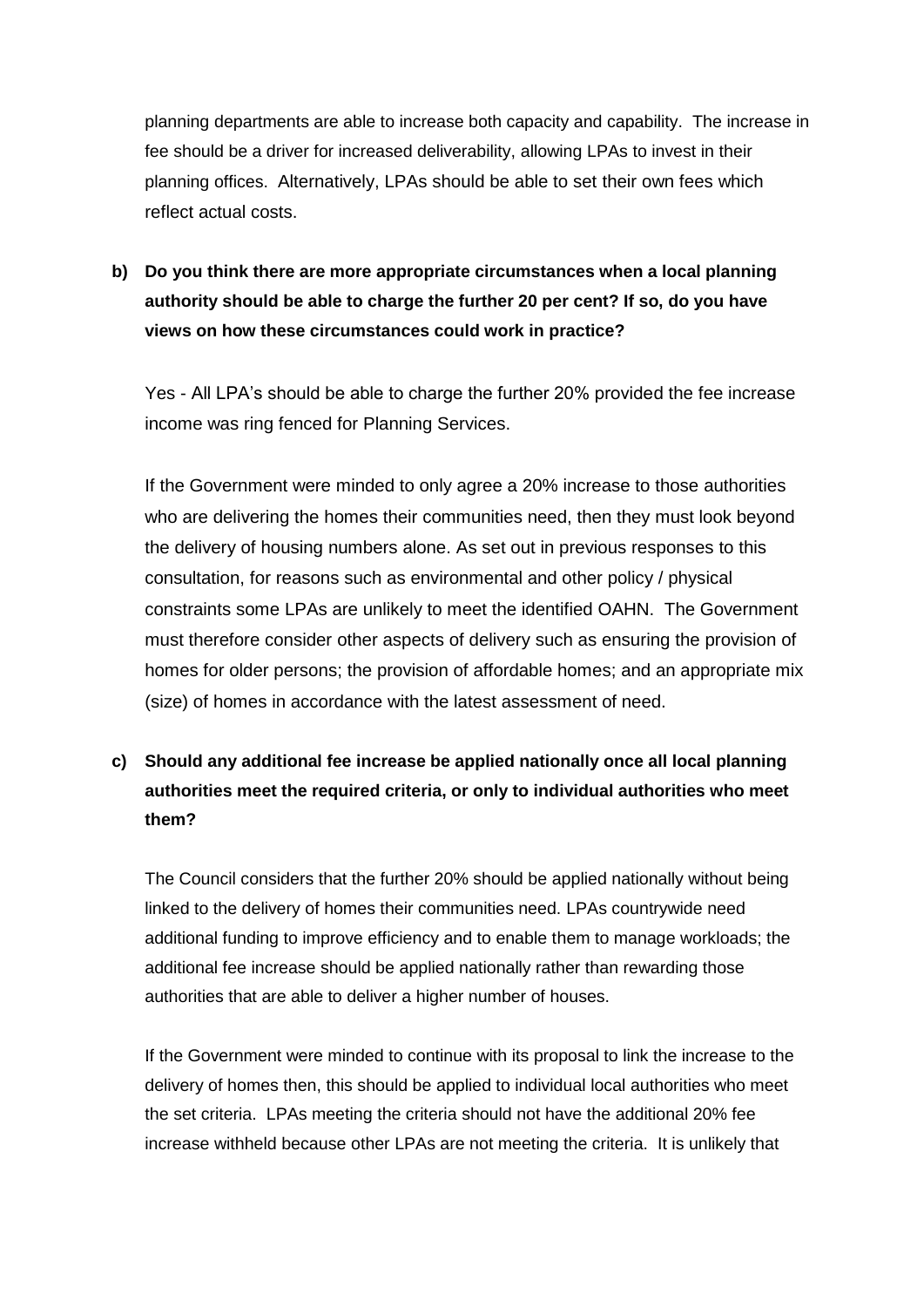planning departments are able to increase both capacity and capability. The increase in fee should be a driver for increased deliverability, allowing LPAs to invest in their planning offices. Alternatively, LPAs should be able to set their own fees which reflect actual costs.

**b) Do you think there are more appropriate circumstances when a local planning authority should be able to charge the further 20 per cent? If so, do you have views on how these circumstances could work in practice?**

Yes - All LPA's should be able to charge the further 20% provided the fee increase income was ring fenced for Planning Services.

If the Government were minded to only agree a 20% increase to those authorities who are delivering the homes their communities need, then they must look beyond the delivery of housing numbers alone. As set out in previous responses to this consultation, for reasons such as environmental and other policy / physical constraints some LPAs are unlikely to meet the identified OAHN. The Government must therefore consider other aspects of delivery such as ensuring the provision of homes for older persons; the provision of affordable homes; and an appropriate mix (size) of homes in accordance with the latest assessment of need.

# **c) Should any additional fee increase be applied nationally once all local planning authorities meet the required criteria, or only to individual authorities who meet them?**

The Council considers that the further 20% should be applied nationally without being linked to the delivery of homes their communities need. LPAs countrywide need additional funding to improve efficiency and to enable them to manage workloads; the additional fee increase should be applied nationally rather than rewarding those authorities that are able to deliver a higher number of houses.

If the Government were minded to continue with its proposal to link the increase to the delivery of homes then, this should be applied to individual local authorities who meet the set criteria. LPAs meeting the criteria should not have the additional 20% fee increase withheld because other LPAs are not meeting the criteria. It is unlikely that